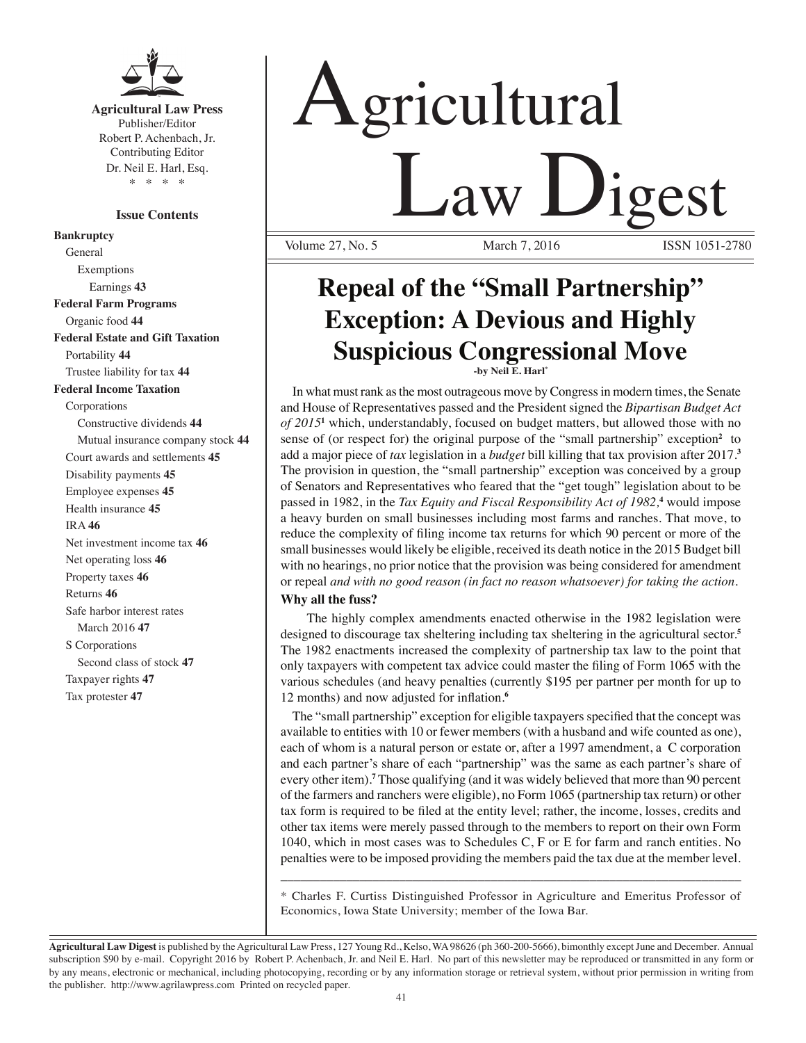

**Agricultural Law Press** Publisher/Editor Robert P. Achenbach, Jr. Contributing Editor Dr. Neil E. Harl, Esq. \* \* \* \*

### **Issue Contents**

**Bankruptcy** General Exemptions Earnings **43 Federal Farm Programs** Organic food **44 Federal Estate and Gift Taxation** Portability **44** Trustee liability for tax **44 Federal Income Taxation** Corporations Constructive dividends **44** Mutual insurance company stock **44** Court awards and settlements **45** Disability payments **45** Employee expenses **45** Health insurance **45** IRA **46** Net investment income tax **46** Net operating loss **46** Property taxes **46** Returns **46** Safe harbor interest rates March 2016 **47** S Corporations Second class of stock **47** Taxpayer rights **47** Tax protester **47**

# Agricultural **Law Digest** Volume  $27$ , No.  $5$

## **Repeal of the "Small Partnership" Exception: A Devious and Highly Suspicious Congressional Move**

**-by Neil E. Harl\*** 

In what must rank as the most outrageous move by Congress in modern times, the Senate and House of Representatives passed and the President signed the *Bipartisan Budget Act of 2015***<sup>1</sup>** which, understandably, focused on budget matters, but allowed those with no sense of (or respect for) the original purpose of the "small partnership" exception**<sup>2</sup>** to add a major piece of *tax* legislation in a *budget* bill killing that tax provision after 2017.**<sup>3</sup>** The provision in question, the "small partnership" exception was conceived by a group of Senators and Representatives who feared that the "get tough" legislation about to be passed in 1982, in the *Tax Equity and Fiscal Responsibility Act of 1982,***<sup>4</sup>** would impose a heavy burden on small businesses including most farms and ranches. That move, to reduce the complexity of filing income tax returns for which 90 percent or more of the small businesses would likely be eligible, received its death notice in the 2015 Budget bill with no hearings, no prior notice that the provision was being considered for amendment or repeal *and with no good reason (in fact no reason whatsoever) for taking the action.*

### **Why all the fuss?**

The highly complex amendments enacted otherwise in the 1982 legislation were designed to discourage tax sheltering including tax sheltering in the agricultural sector.**<sup>5</sup>** The 1982 enactments increased the complexity of partnership tax law to the point that only taxpayers with competent tax advice could master the filing of Form 1065 with the various schedules (and heavy penalties (currently \$195 per partner per month for up to 12 months) and now adjusted for inflation.**<sup>6</sup>**

The "small partnership" exception for eligible taxpayers specified that the concept was available to entities with 10 or fewer members (with a husband and wife counted as one), each of whom is a natural person or estate or, after a 1997 amendment, a C corporation and each partner's share of each "partnership" was the same as each partner's share of every other item).**<sup>7</sup>** Those qualifying (and it was widely believed that more than 90 percent of the farmers and ranchers were eligible), no Form 1065 (partnership tax return) or other tax form is required to be filed at the entity level; rather, the income, losses, credits and other tax items were merely passed through to the members to report on their own Form 1040, which in most cases was to Schedules C, F or E for farm and ranch entities. No penalties were to be imposed providing the members paid the tax due at the member level.

\* Charles F. Curtiss Distinguished Professor in Agriculture and Emeritus Professor of Economics, Iowa State University; member of the Iowa Bar.

\_\_\_\_\_\_\_\_\_\_\_\_\_\_\_\_\_\_\_\_\_\_\_\_\_\_\_\_\_\_\_\_\_\_\_\_\_\_\_\_\_\_\_\_\_\_\_\_\_\_\_\_\_\_\_\_\_\_\_\_\_\_\_\_\_\_\_\_\_\_

**Agricultural Law Digest** is published by the Agricultural Law Press, 127 Young Rd., Kelso, WA 98626 (ph 360-200-5666), bimonthly except June and December. Annual subscription \$90 by e-mail. Copyright 2016 by Robert P. Achenbach, Jr. and Neil E. Harl. No part of this newsletter may be reproduced or transmitted in any form or by any means, electronic or mechanical, including photocopying, recording or by any information storage or retrieval system, without prior permission in writing from the publisher. http://www.agrilawpress.com Printed on recycled paper.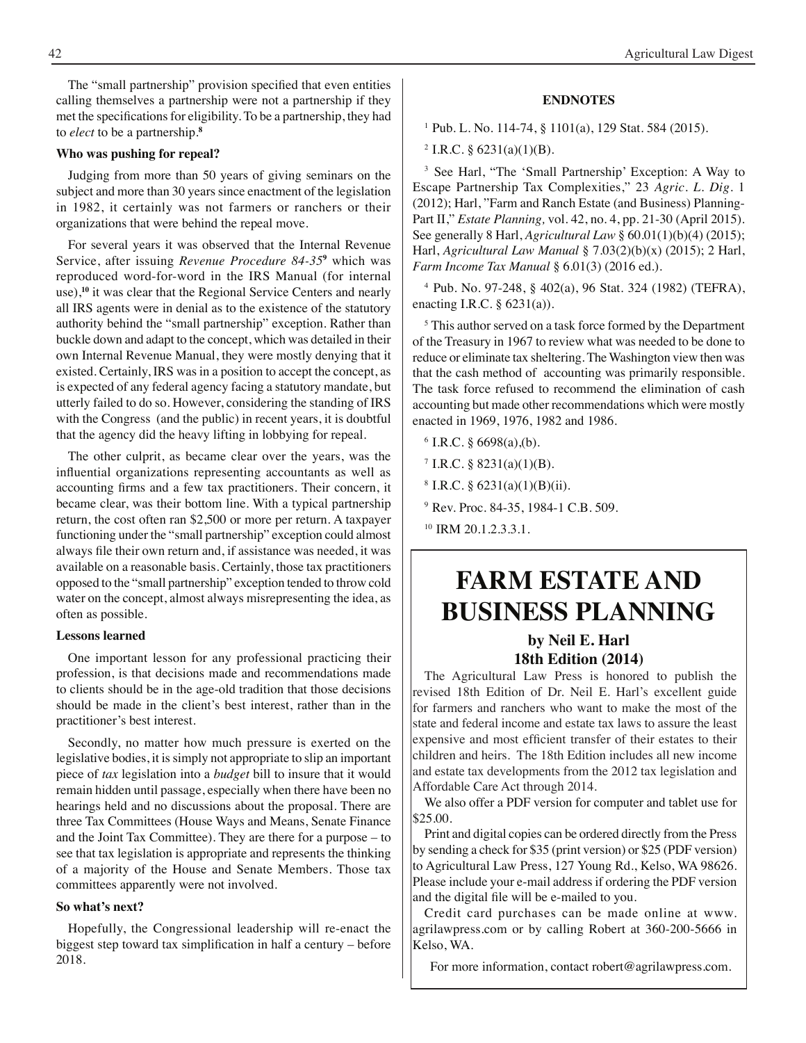The "small partnership" provision specified that even entities calling themselves a partnership were not a partnership if they met the specifications for eligibility. To be a partnership, they had to *elect* to be a partnership.**<sup>8</sup>**

### **Who was pushing for repeal?**

Judging from more than 50 years of giving seminars on the subject and more than 30 years since enactment of the legislation in 1982, it certainly was not farmers or ranchers or their organizations that were behind the repeal move.

For several years it was observed that the Internal Revenue Service, after issuing *Revenue Procedure 84-35*<sup>9</sup> which was reproduced word-for-word in the IRS Manual (for internal use),**<sup>10</sup>** it was clear that the Regional Service Centers and nearly all IRS agents were in denial as to the existence of the statutory authority behind the "small partnership" exception. Rather than buckle down and adapt to the concept, which was detailed in their own Internal Revenue Manual, they were mostly denying that it existed. Certainly, IRS was in a position to accept the concept, as is expected of any federal agency facing a statutory mandate, but utterly failed to do so. However, considering the standing of IRS with the Congress (and the public) in recent years, it is doubtful that the agency did the heavy lifting in lobbying for repeal.

The other culprit, as became clear over the years, was the influential organizations representing accountants as well as accounting firms and a few tax practitioners. Their concern, it became clear, was their bottom line. With a typical partnership return, the cost often ran \$2,500 or more per return. A taxpayer functioning under the "small partnership" exception could almost always file their own return and, if assistance was needed, it was available on a reasonable basis. Certainly, those tax practitioners opposed to the "small partnership" exception tended to throw cold water on the concept, almost always misrepresenting the idea, as often as possible.

#### **Lessons learned**

One important lesson for any professional practicing their profession, is that decisions made and recommendations made to clients should be in the age-old tradition that those decisions should be made in the client's best interest, rather than in the practitioner's best interest.

Secondly, no matter how much pressure is exerted on the legislative bodies, it is simply not appropriate to slip an important piece of *tax* legislation into a *budget* bill to insure that it would remain hidden until passage, especially when there have been no hearings held and no discussions about the proposal. There are three Tax Committees (House Ways and Means, Senate Finance and the Joint Tax Committee). They are there for a purpose – to see that tax legislation is appropriate and represents the thinking of a majority of the House and Senate Members. Those tax committees apparently were not involved.

### **So what's next?**

Hopefully, the Congressional leadership will re-enact the biggest step toward tax simplification in half a century – before 2018.

#### **ENDNOTES**

1 Pub. L. No. 114-74, § 1101(a), 129 Stat. 584 (2015).

 $2$  I.R.C. § 6231(a)(1)(B).

3 See Harl, "The 'Small Partnership' Exception: A Way to Escape Partnership Tax Complexities," 23 *Agric. L. Dig*. 1 (2012); Harl, "Farm and Ranch Estate (and Business) Planning-Part II," *Estate Planning,* vol. 42, no. 4, pp. 21-30 (April 2015). See generally 8 Harl, *Agricultural Law* § 60.01(1)(b)(4) (2015); Harl, *Agricultural Law Manual* § 7.03(2)(b)(x) (2015); 2 Harl, *Farm Income Tax Manual* § 6.01(3) (2016 ed.).

<sup>4</sup>Pub. No. 97-248, § 402(a), 96 Stat. 324 (1982) (TEFRA), enacting I.R.C.  $\S$  6231(a)).

<sup>5</sup> This author served on a task force formed by the Department of the Treasury in 1967 to review what was needed to be done to reduce or eliminate tax sheltering. The Washington view then was that the cash method of accounting was primarily responsible. The task force refused to recommend the elimination of cash accounting but made other recommendations which were mostly enacted in 1969, 1976, 1982 and 1986.

- $6$  I.R.C. § 6698(a),(b).
- $7$  I.R.C. § 8231(a)(1)(B).
- $8$  I.R.C.  $§$  6231(a)(1)(B)(ii).
- <sup>9</sup> Rev. Proc. 84-35, 1984-1 C.B. 509.
- <sup>10</sup> IRM 20.1.2.3.3.1.

### **FARM ESTATE AND BUSINESS PLANNING**

### **by Neil E. Harl 18th Edition (2014)**

The Agricultural Law Press is honored to publish the revised 18th Edition of Dr. Neil E. Harl's excellent guide for farmers and ranchers who want to make the most of the state and federal income and estate tax laws to assure the least expensive and most efficient transfer of their estates to their children and heirs. The 18th Edition includes all new income and estate tax developments from the 2012 tax legislation and Affordable Care Act through 2014.

We also offer a PDF version for computer and tablet use for \$25.00.

Print and digital copies can be ordered directly from the Press by sending a check for \$35 (print version) or \$25 (PDF version) to Agricultural Law Press, 127 Young Rd., Kelso, WA 98626. Please include your e-mail address if ordering the PDF version and the digital file will be e-mailed to you.

Credit card purchases can be made online at www. agrilawpress.com or by calling Robert at 360-200-5666 in Kelso, WA.

For more information, contact robert@agrilawpress.com.